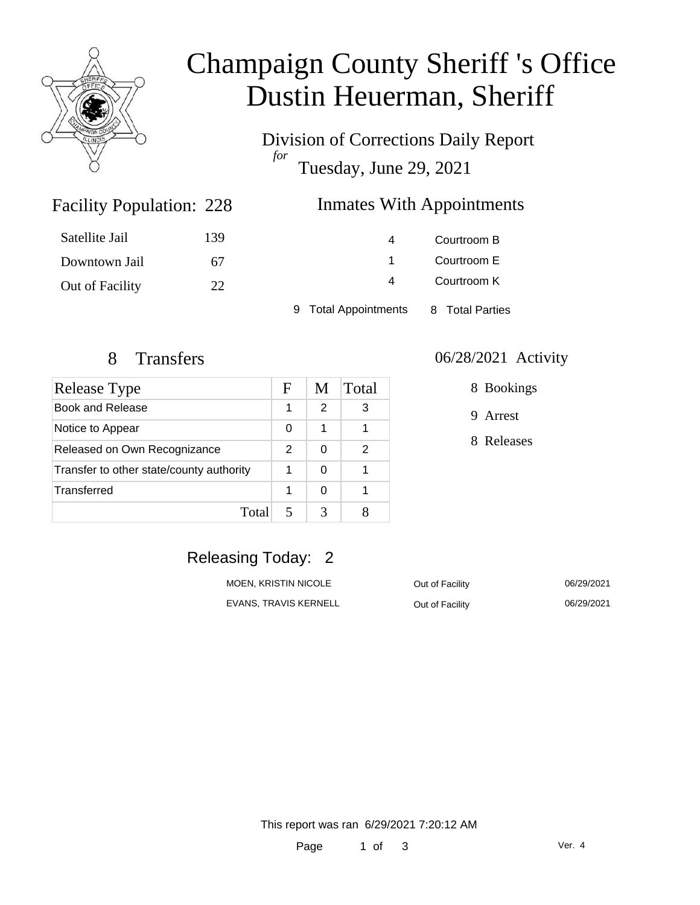

# Champaign County Sheriff 's Office Dustin Heuerman, Sheriff

Division of Corrections Daily Report *for* Tuesday, June 29, 2021

### Inmates With Appointments

| Satellite Jail  | 139 | 4                    | Courtroom B     |  |
|-----------------|-----|----------------------|-----------------|--|
| Downtown Jail   | 67  |                      | Courtroom E     |  |
| Out of Facility | 22  | 4                    | Courtroom K     |  |
|                 |     | 9 Total Appointments | 8 Total Parties |  |

Facility Population: 228

| <b>Release Type</b>                      |   | M             | Total |
|------------------------------------------|---|---------------|-------|
| Book and Release                         |   | $\mathcal{P}$ | 3     |
| Notice to Appear                         |   | 1             |       |
| Released on Own Recognizance             |   | 0             | 2     |
| Transfer to other state/county authority |   | 0             |       |
| Transferred                              | 1 | 0             |       |
| Total                                    |   | 3             |       |

#### 8 Transfers 06/28/2021 Activity

8 Bookings

9 Arrest

8 Releases

### Releasing Today: 2

| MOEN, KRISTIN NICOLE  | Out of Facility | 06/29/2021 |
|-----------------------|-----------------|------------|
| EVANS. TRAVIS KERNELL | Out of Facility | 06/29/2021 |

This report was ran 6/29/2021 7:20:12 AM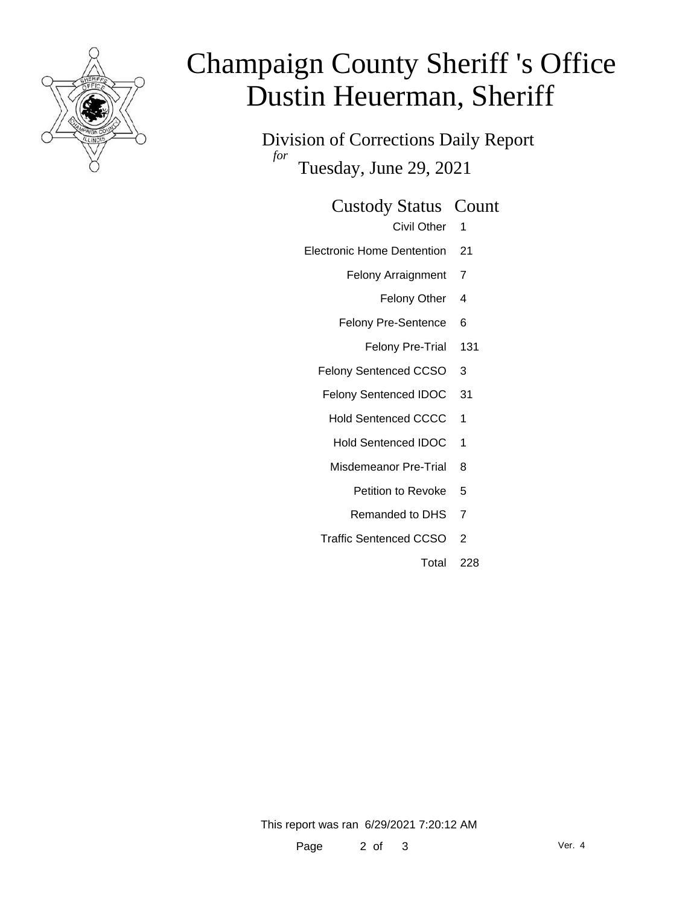

# Champaign County Sheriff 's Office Dustin Heuerman, Sheriff

Division of Corrections Daily Report *for* Tuesday, June 29, 2021

#### Custody Status Count

- Civil Other 1
- Electronic Home Dentention 21
	- Felony Arraignment 7
		- Felony Other 4
	- Felony Pre-Sentence 6
		- Felony Pre-Trial 131
	- Felony Sentenced CCSO 3
	- Felony Sentenced IDOC 31
		- Hold Sentenced CCCC 1
		- Hold Sentenced IDOC 1
		- Misdemeanor Pre-Trial 8
			- Petition to Revoke 5
			- Remanded to DHS 7
	- Traffic Sentenced CCSO 2
		- Total 228

This report was ran 6/29/2021 7:20:12 AM